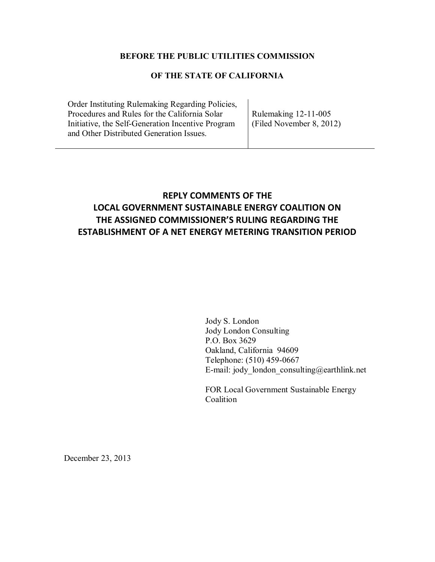## **BEFORE THE PUBLIC UTILITIES COMMISSION**

## **OF THE STATE OF CALIFORNIA**

Order Instituting Rulemaking Regarding Policies, Procedures and Rules for the California Solar Initiative, the Self-Generation Incentive Program and Other Distributed Generation Issues.

Rulemaking 12-11-005 (Filed November 8, 2012)

## **REPLY COMMENTS OF THE LOCAL GOVERNMENT SUSTAINABLE ENERGY COALITION ON THE ASSIGNED COMMISSIONER'S RULING REGARDING THE ESTABLISHMENT OF A NET ENERGY METERING TRANSITION PERIOD**

Jody S. London Jody London Consulting P.O. Box 3629 Oakland, California 94609 Telephone: (510) 459-0667 E-mail: jody london consulting@earthlink.net

FOR Local Government Sustainable Energy Coalition

December 23, 2013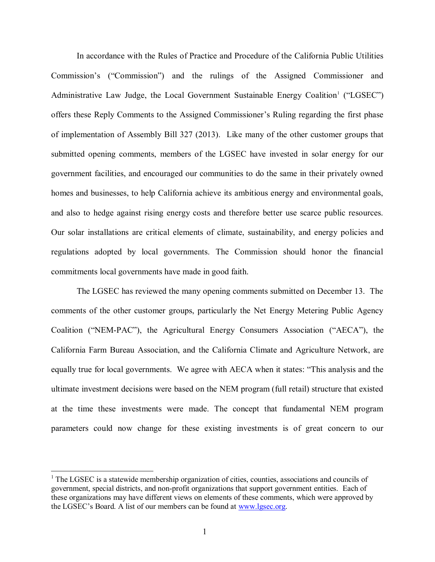In accordance with the Rules of Practice and Procedure of the California Public Utilities Commission's ("Commission") and the rulings of the Assigned Commissioner and Administrative Law Judge, the Local Government Sustainable Energy Coalition<sup>1</sup> ("LGSEC") offers these Reply Comments to the Assigned Commissioner's Ruling regarding the first phase of implementation of Assembly Bill 327 (2013). Like many of the other customer groups that submitted opening comments, members of the LGSEC have invested in solar energy for our government facilities, and encouraged our communities to do the same in their privately owned homes and businesses, to help California achieve its ambitious energy and environmental goals, and also to hedge against rising energy costs and therefore better use scarce public resources. Our solar installations are critical elements of climate, sustainability, and energy policies and regulations adopted by local governments. The Commission should honor the financial commitments local governments have made in good faith.

The LGSEC has reviewed the many opening comments submitted on December 13. The comments of the other customer groups, particularly the Net Energy Metering Public Agency Coalition ("NEM-PAC"), the Agricultural Energy Consumers Association ("AECA"), the California Farm Bureau Association, and the California Climate and Agriculture Network, are equally true for local governments. We agree with AECA when it states: "This analysis and the ultimate investment decisions were based on the NEM program (full retail) structure that existed at the time these investments were made. The concept that fundamental NEM program parameters could now change for these existing investments is of great concern to our

 $\overline{a}$ 

 $<sup>1</sup>$  The LGSEC is a statewide membership organization of cities, counties, associations and councils of</sup> government, special districts, and non-profit organizations that support government entities. Each of these organizations may have different views on elements of these comments, which were approved by the LGSEC's Board. A list of our members can be found at [www.lgsec.org.](http://www.lgsec.org/)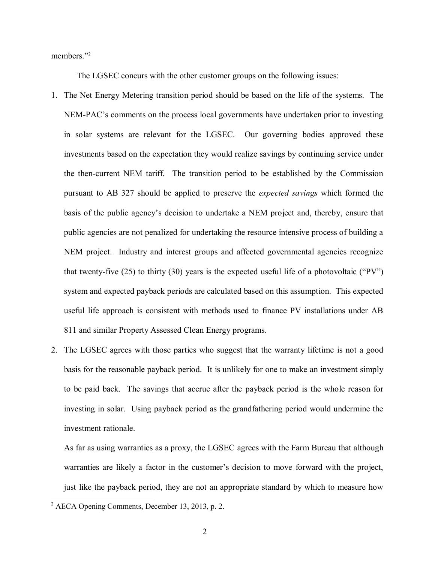members." 2

The LGSEC concurs with the other customer groups on the following issues:

- 1. The Net Energy Metering transition period should be based on the life of the systems. The NEM-PAC's comments on the process local governments have undertaken prior to investing in solar systems are relevant for the LGSEC. Our governing bodies approved these investments based on the expectation they would realize savings by continuing service under the then-current NEM tariff. The transition period to be established by the Commission pursuant to AB 327 should be applied to preserve the *expected savings* which formed the basis of the public agency's decision to undertake a NEM project and, thereby, ensure that public agencies are not penalized for undertaking the resource intensive process of building a NEM project. Industry and interest groups and affected governmental agencies recognize that twenty-five (25) to thirty (30) years is the expected useful life of a photovoltaic ("PV") system and expected payback periods are calculated based on this assumption. This expected useful life approach is consistent with methods used to finance PV installations under AB 811 and similar Property Assessed Clean Energy programs.
- 2. The LGSEC agrees with those parties who suggest that the warranty lifetime is not a good basis for the reasonable payback period. It is unlikely for one to make an investment simply to be paid back. The savings that accrue after the payback period is the whole reason for investing in solar. Using payback period as the grandfathering period would undermine the investment rationale.

As far as using warranties as a proxy, the LGSEC agrees with the Farm Bureau that although warranties are likely a factor in the customer's decision to move forward with the project, just like the payback period, they are not an appropriate standard by which to measure how

 $\overline{a}$ 

 $2^2$  AECA Opening Comments, December 13, 2013, p. 2.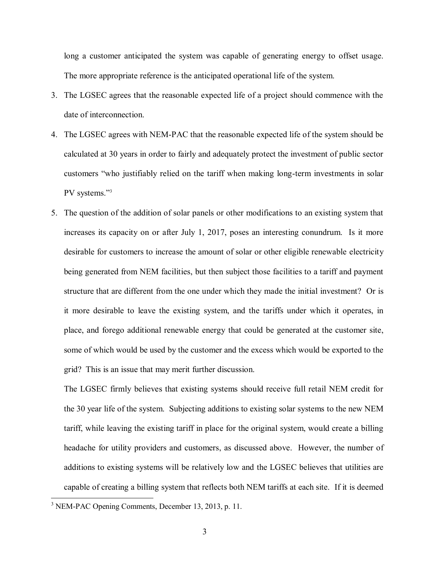long a customer anticipated the system was capable of generating energy to offset usage. The more appropriate reference is the anticipated operational life of the system.

- 3. The LGSEC agrees that the reasonable expected life of a project should commence with the date of interconnection.
- 4. The LGSEC agrees with NEM-PAC that the reasonable expected life of the system should be calculated at 30 years in order to fairly and adequately protect the investment of public sector customers "who justifiably relied on the tariff when making long-term investments in solar PV systems."<sup>3</sup>
- 5. The question of the addition of solar panels or other modifications to an existing system that increases its capacity on or after July 1, 2017, poses an interesting conundrum. Is it more desirable for customers to increase the amount of solar or other eligible renewable electricity being generated from NEM facilities, but then subject those facilities to a tariff and payment structure that are different from the one under which they made the initial investment? Or is it more desirable to leave the existing system, and the tariffs under which it operates, in place, and forego additional renewable energy that could be generated at the customer site, some of which would be used by the customer and the excess which would be exported to the grid? This is an issue that may merit further discussion.

The LGSEC firmly believes that existing systems should receive full retail NEM credit for the 30 year life of the system. Subjecting additions to existing solar systems to the new NEM tariff, while leaving the existing tariff in place for the original system, would create a billing headache for utility providers and customers, as discussed above. However, the number of additions to existing systems will be relatively low and the LGSEC believes that utilities are capable of creating a billing system that reflects both NEM tariffs at each site. If it is deemed

 $\overline{a}$ 

<sup>&</sup>lt;sup>3</sup> NEM-PAC Opening Comments, December 13, 2013, p. 11.